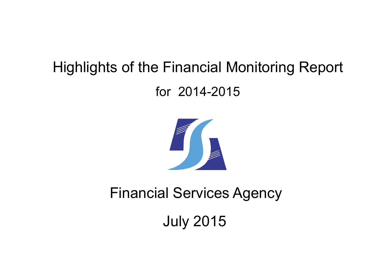# Highlights of the Financial Monitoring Report for 2014-2015



# Financial Services Agency

July 2015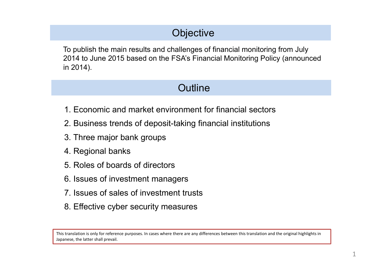# **Objective**

To publish the main results and challenges of financial monitoring from July 2014 to June 2015 based on the FSAís Financial Monitoring Policy (announced in 2014).

### **Outline**

- 1. Economic and market environment for financial sectors
- 2. Business trends of deposit-taking financial institutions
- 3. Three major bank groups
- 4. Regional banks
- 5. Roles of boards of directors
- 6. Issues of investment managers
- 7. Issues of sales of investment trusts
- 8. Effective cyber security measures

This translation is only for reference purposes. In cases where there are any differences between this translation and the original highlights in Japanese, the latter shall prevail.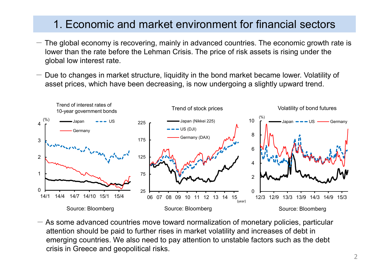### 1. Economic and market environment for financial sectors

- $-$  The global economy is recovering, mainly in advanced countries. The economic growth rate is lower than the rate before the Lehman Crisis. The price of risk assets is rising under the global low interest rate.
- Due to changes in market structure, liquidity in the bond market became lower. Volatility of asset prices, which have been decreasing, is now undergoing a slightly upward trend.



 $-$  As some advanced countries move toward normalization of monetary policies, particular attention should be paid to further rises in market volatility and increases of debt in emerging countries. We also need to pay attention to unstable factors such as the debt crisis in Greece and geopolitical risks.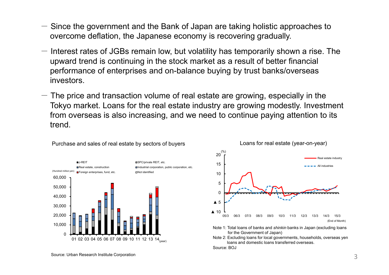- $-$  Since the government and the Bank of Japan are taking holistic approaches to overcome deflation, the Japanese economy is recovering gradually.
- $-$  Interest rates of JGBs remain low, but volatility has temporarily shown a rise. The upward trend is continuing in the stock market as a result of better financial performance of enterprises and on-balance buying by trust banks/overseas investors.
- $-$  The price and transaction volume of real estate are growing, especially in the Tokyo market. Loans for the real estate industry are growing modestly. Investment from overseas is also increasing, and we need to continue paying attention to its trend.





loans and domestic loans transferred overseas.

Source: BOJ

Purchase and sales of real estate by sectors of buyers Loans for real estate (year-on-year)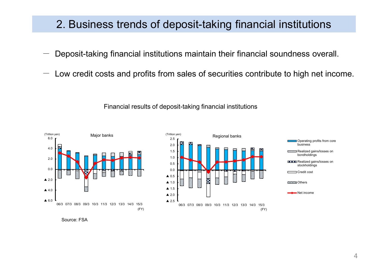### 2. Business trends of deposit-taking financial institutions

- Deposit-taking financial institutions maintain their financial soundness overall.
- $-$  Low credit costs and profits from sales of securities contribute to high net income.



Financial results of deposit-taking financial institutions

Source: FSA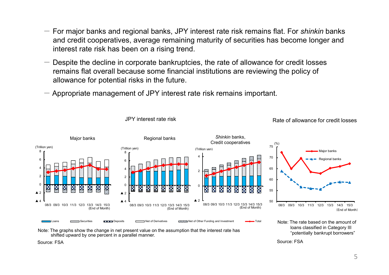- For major banks and regional banks, JPY interest rate risk remains flat. For *shinkin* banks and credit cooperatives, average remaining maturity of securities has become longer and interest rate risk has been on a rising trend.
- $-$  Despite the decline in corporate bankruptcies, the rate of allowance for credit losses remains flat overall because some financial institutions are reviewing the policy of allowance for potential risks in the future.
- $-$  Appropriate management of JPY interest rate risk remains important.



JPY interest rate risk JPY interest rate risk

Note: The graphs show the change in net present value on the assumption that the interest rate has shifted upward by one percent in a parallel manner.

loans classified in Category III "potentially bankrupt borrowers"

Source: FSA

Source: FSA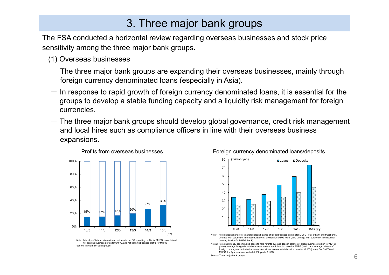### 3. Three major bank groups

The FSA conducted a horizontal review regarding overseas businesses and stock price sensitivity among the three major bank groups.

- (1) Overseas businesses
- $-$  The three major bank groups are expanding their overseas businesses, mainly through foreign currency denominated loans (especially in Asia).
- $-$  In response to rapid growth of foreign currency denominated loans, it is essential for the groups to develop a stable funding capacity and a liquidity risk management for foreign currencies.
- $-$  The three major bank groups should develop global governance, credit risk management and local hires such as compliance officers in line with their overseas business expansions.







- Note 1: Foreign loans here refer to average loan balance of global business division for MUFG (total of bank and trust bank) average loan balance of international banking division for SMFG (bank), and average loan balance of international banking division for MHFG (bank).
- Note 2: Foreign currency denominated deposits here refer to average deposit balance of global business division for MUFG (bank), average foreign deposit balance of internal administration base for SMFG (bank), and average balance of foreign currency denominated customer deposits of internal administration base for MHFG (bank). For SMFG and MHFG, the figures are converted at 100 yen to 1 USD.

Source: Three major bank groups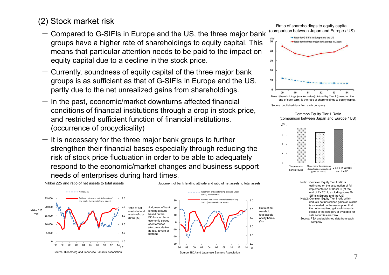### (2) Stock market risk

- $-$  Compared to G-SIFIs in Europe and the US, the three major bank groups have a higher rate of shareholdings to equity capital. This means that particular attention needs to be paid to the impact on equity capital due to a decline in the stock price.
- $-$  Currently, soundness of equity capital of the three major bank groups is as sufficient as that of G-SIFIs in Europe and the US, partly due to the net unrealized gains from shareholdings.
- $-$  In the past, economic/market downturns affected financial conditions of financial institutions through a drop in stock price, and restricted sufficient function of financial institutions. (occurrence of procyclicality)
- $-$  It is necessary for the three major bank groups to further strengthen their financial bases especially through reducing the risk of stock price fluctuation in order to be able to adequately respond to the economic/market changes and business support needs of enterprises during hard times.



Ratio of shareholdings to equity capital (comparison between Japan and Europe / US)



Source: published data from each company

Common Equity Tier 1 Ratio (comparison between Japan and Europe / US)



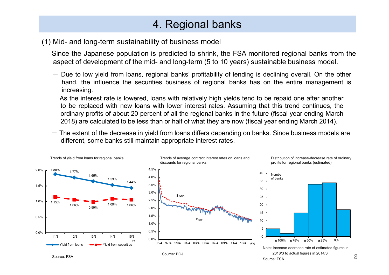# 4. Regional banks

#### (1) Mid- and long-term sustainability of business model

Since the Japanese population is predicted to shrink, the FSA monitored regional banks from the aspect of development of the mid- and long-term (5 to 10 years) sustainable business model.

- $-$  Due to low yield from loans, regional banks' profitability of lending is declining overall. On the other hand, the influence the securities business of regional banks has on the entire management is increasing.
- $-$  As the interest rate is lowered, loans with relatively high yields tend to be repaid one after another to be replaced with new loans with lower interest rates. Assuming that this trend continues, the ordinary profits of about 20 percent of all the regional banks in the future (fiscal year ending March 2018) are calculated to be less than or half of what they are now (fiscal year ending March 2014).
- $-$  The extent of the decrease in yield from loans differs depending on banks. Since business models are different, some banks still maintain appropriate interest rates.

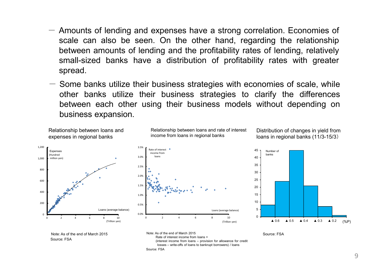- $-$  Amounts of lending and expenses have a strong correlation. Economies of scale can also be seen. On the other hand, regarding the relationship between amounts of lending and the profitability rates of lending, relatively small-sized banks have a distribution of profitability rates with greater spread.
- $-$  Some banks utilize their business strategies with economies of scale, while other banks utilize their business strategies to clarify the differences between each other using their business models without depending on business expansion.

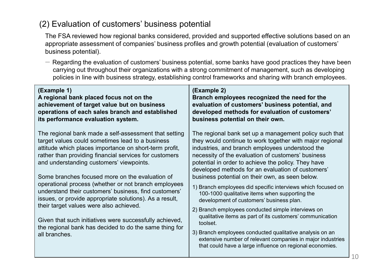### (2) Evaluation of customers' business potential

The FSA reviewed how regional banks considered, provided and supported effective solutions based on an appropriate assessment of companies' business profiles and growth potential (evaluation of customers' business potential).

 $-$  Regarding the evaluation of customers' business potential, some banks have good practices they have been carrying out throughout their organizations with a strong commitment of management, such as developing policies in line with business strategy, establishing control frameworks and sharing with branch employees.

| (Example 1)<br>A regional bank placed focus not on the<br>achievement of target value but on business<br>operations of each sales branch and established<br>its performance evaluation system.                                                                                                                                                                                                                                                                                                                                                                                                                                                                                            | (Example 2)<br>Branch employees recognized the need for the<br>evaluation of customers' business potential, and<br>developed methods for evaluation of customers'<br>business potential on their own.                                                                                                                                   |  |
|-------------------------------------------------------------------------------------------------------------------------------------------------------------------------------------------------------------------------------------------------------------------------------------------------------------------------------------------------------------------------------------------------------------------------------------------------------------------------------------------------------------------------------------------------------------------------------------------------------------------------------------------------------------------------------------------|-----------------------------------------------------------------------------------------------------------------------------------------------------------------------------------------------------------------------------------------------------------------------------------------------------------------------------------------|--|
| The regional bank made a self-assessment that setting<br>target values could sometimes lead to a business<br>attitude which places importance on short-term profit,<br>rather than providing financial services for customers<br>and understanding customers' viewpoints.<br>Some branches focused more on the evaluation of<br>operational process (whether or not branch employees<br>understand their customers' business, find customers'<br>issues, or provide appropriate solutions). As a result,<br>their target values were also achieved.<br>Given that such initiatives were successfully achieved,<br>the regional bank has decided to do the same thing for<br>all branches. | The regional bank set up a management policy such that<br>they would continue to work together with major regional<br>industries, and branch employees understood the<br>necessity of the evaluation of customers' business<br>potential in order to achieve the policy. They have<br>developed methods for an evaluation of customers' |  |
|                                                                                                                                                                                                                                                                                                                                                                                                                                                                                                                                                                                                                                                                                           | business potential on their own, as seen below.<br>1) Branch employees did specific interviews which focused on<br>100-1000 qualitative items when supporting the<br>development of customers' business plan.                                                                                                                           |  |
|                                                                                                                                                                                                                                                                                                                                                                                                                                                                                                                                                                                                                                                                                           | 2) Branch employees conducted simple interviews on<br>qualitative items as part of its customers' communication<br>toolset.<br>3) Branch employees conducted qualitative analysis on an<br>extensive number of relevant companies in major industries<br>that could have a large influence on regional economies.                       |  |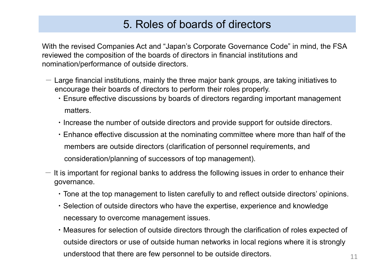### 5. Roles of boards of directors

With the revised Companies Act and "Japan's Corporate Governance Code" in mind, the FSA reviewed the composition of the boards of directors in financial institutions and nomination/performance of outside directors.

- $-$  Large financial institutions, mainly the three major bank groups, are taking initiatives to encourage their boards of directors to perform their roles properly.
	- ・Ensure effective discussions by boards of directors regarding important management matters.
	- ・Increase the number of outside directors and provide support for outside directors.
	- ・Enhance effective discussion at the nominating committee where more than half of the members are outside directors (clarification of personnel requirements, and consideration/planning of successors of top management).
- $-$  It is important for regional banks to address the following issues in order to enhance their governance.
	- $\cdot$  Tone at the top management to listen carefully to and reflect outside directors' opinions.
	- ・Selection of outside directors who have the expertise, experience and knowledge necessary to overcome management issues.
	- ・Measures for selection of outside directors through the clarification of roles expected of outside directors or use of outside human networks in local regions where it is strongly understood that there are few personnel to be outside directors.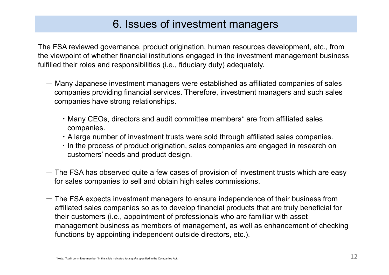### 6. Issues of investment managers

The FSA reviewed governance, product origination, human resources development, etc., from the viewpoint of whether financial institutions engaged in the investment management business fulfilled their roles and responsibilities (i.e., fiduciary duty) adequately.

- $-$  Many Japanese investment managers were established as affiliated companies of sales companies providing financial services. Therefore, investment managers and such sales companies have strong relationships.
	- ・Many CEOs, directors and audit committee members\* are from affiliated sales companies.
	- ・A large number of investment trusts were sold through affiliated sales companies.
	- ・In the process of product origination, sales companies are engaged in research on customers' needs and product design.
- $-$  The FSA has observed quite a few cases of provision of investment trusts which are easy for sales companies to sell and obtain high sales commissions.
- $-$  The FSA expects investment managers to ensure independence of their business from affiliated sales companies so as to develop financial products that are truly beneficial for their customers (i.e., appointment of professionals who are familiar with asset management business as members of management, as well as enhancement of checking functions by appointing independent outside directors, etc.).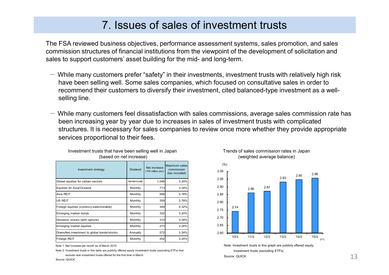### 7. Issues of sales of investment trusts

The FSA reviewed business objectives, performance assessment systems, sales promotion, and sales commission structures of financial institutions from the viewpoint of the development of solicitation and sales to support customers' asset building for the mid- and long-term.

- $-$  While many customers prefer "safety" in their investments, investment trusts with relatively high risk have been selling well. Some sales companies, which focused on consultative sales in order to recommend their customers to diversify their investment, cited balanced-type investment as a wellselling line.
- $-$  While many customers feel dissatisfaction with sales commissions, average sales commission rate has been increasing year by year due to increases in sales of investment trusts with complicated structures. It is necessary for sales companies to review once more whether they provide appropriate services proportional to their fees.

| Investment strategy                           | Dividend     | Net increase<br>(100 million yen) | Maximum sales<br>commission<br>(tax included) |
|-----------------------------------------------|--------------|-----------------------------------|-----------------------------------------------|
| Global equities for certain sectors           | Semiannually | 1,049                             | 3.24%                                         |
| Equities for Asia/Oceania                     | Monthly      | 713                               | 3.24%                                         |
| Asia REIT                                     | Monthly      | 568                               | 3.78%                                         |
| US REIT                                       | Monthly      | 359                               | 3.78%                                         |
| Foreign equities (currency-selectionable)     | Monthly      | 349                               | 4.32%                                         |
| Emerging market bonds                         | Monthly      | 332                               | 3.24%                                         |
| Domestic stocks (with options)                | Monthly      | 310                               | 3.24%                                         |
| Emerging market equities                      | Monthly      | 273                               | 3.24%                                         |
| Diversified investment to global bonds/stocks | Annually     | 272                               | 3.24%                                         |
| Foreign REIT                                  | Monthly      | 252                               | 3.24%                                         |

#### Investment trusts that have been selling well in Japan (based on net increase)

Note 1: Net increase per month as of March 2015

Note 2: Investment trusts in this table are publicly offered equity investment trusts (excluding ETFs) that exclude new investment trusts offered for the first time in March



Trends of sales commission rates in Japan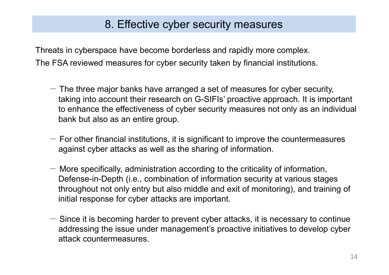## 8. Effective cyber security measures

Threats in cyberspace have become borderless and rapidly more complex. The FSA reviewed measures for cyber security taken by financial institutions.

- $-$  The three major banks have arranged a set of measures for cyber security, taking into account their research on G-SIFIs' proactive approach. It is important to enhance the effectiveness of cyber security measures not only as an individual bank but also as an entire group.
- $-$  For other financial institutions, it is significant to improve the countermeasures against cyber attacks as well as the sharing of information.
- $-$  More specifically, administration according to the criticality of information, Defense-in-Depth (i.e., combination of information security at various stages throughout not only entry but also middle and exit of monitoring), and training of initial response for cyber attacks are important.
- $-$  Since it is becoming harder to prevent cyber attacks, it is necessary to continue addressing the issue under management's proactive initiatives to develop cyber attack countermeasures.